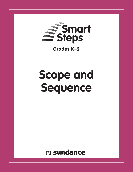

**Grades K–2**

# **Scope and Sequence**

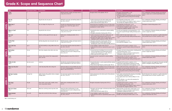### **Grade K: Scope and Sequence Chart**

|                                       | Title                             | High-Frequency Words | <b>Content Words</b>                                                            | <b>Reading Comprehension Focus</b>                                                                                                     | <b>Foundational Skills</b>                                                                                                                                                                                               | Language Skills                                                                                                                                                                                                                                           | Writing                                                                                                                      |
|---------------------------------------|-----------------------------------|----------------------|---------------------------------------------------------------------------------|----------------------------------------------------------------------------------------------------------------------------------------|--------------------------------------------------------------------------------------------------------------------------------------------------------------------------------------------------------------------------|-----------------------------------------------------------------------------------------------------------------------------------------------------------------------------------------------------------------------------------------------------------|------------------------------------------------------------------------------------------------------------------------------|
|                                       | I Hop<br>$GRLA*$                  |                      | hop                                                                             | Identify characters, settings, and major events in<br>a story. RL.K.3, RL.K.10                                                         | Recognize letters of the alphabet. RF.K.1d                                                                                                                                                                               | • Recognize end punctuation. L.K.2b<br>• Capitalize the pronoun <i>I. L.K.2a</i><br>· Distinguish shades of meaning among verbs describing<br>the same general action by acting out the meanings.<br>L.K.5d                                               | Use a combination of drawing, dictating, and writing to<br>narrate a single event or several loosely linked events.<br>W.K.3 |
| $\overline{\phantom{0}}$              | <b>The Tin</b><br>GRL A           | the                  | bag, bat, box, hat, net, pen, tin                                               | Identify the main topic and retell key details of a<br>text. RI.K.2, RI.K.10                                                           | · Isolate and pronounce the initial, medial vowel, and<br>final sounds in three-phoneme words. RF.K.2d<br>. Follow words from left to right. RF.K.1a                                                                     | • Use frequently occurring nouns. L.K.1b<br>• Sort common objects into categories to gain a sense of<br>the concepts the categories represent. L.K.5a                                                                                                     | Use a combination of drawing, dictating, and writing to<br>compose opinion pieces. W.K.1                                     |
| <b>LEVEL</b>                          | What Am I?<br>GRL A               | a, am                | bat, cat, dragon, fox, frog, hen, ram                                           | Describe the relationship between illustrations<br>and the story in which they appear. RL.K.7,<br><b>RL.K.10</b>                       | Demonstrate basic knowledge of one-to-one letter-sound<br>correspondences by producing the primary sounds for the<br>consonants b, f, h, and r. RF.K.3a                                                                  | • Use frequently occurring nouns. L.K.1b<br>• Understand and use question words. L.K.1d<br>• Sort words into categories to gain a sense of the<br>concepts the categories represent. L.K.5a                                                               | Participate in shared writing projects. W.K.7                                                                                |
|                                       | <b>Where Is Ted?</b><br>GRL A     | in, is               | bag, bed, bin, box, crib, van                                                   | Identify characters, settings, and major events in<br>a story. RL.K.3, RL.K.10                                                         | • Associate the short e sound with its common spelling.<br>RF.K.3b<br>• Recognize and produce rhyming words. RF.K.2a                                                                                                     | • Use the most frequently occurring prepositions. L.K.1e<br>. Use words acquired through reading and being read to.<br>L.K.6                                                                                                                              | Use a combination of drawing, dictating, and writing to<br>narrate a single event. W.K.3                                     |
|                                       | The Cat!<br>GRL A                 | $_{0n}$              | branch, cat, fence, gate, hill, rock, step, van                                 | Retell stories, including key details. RL.K.2,<br><b>RL.K.10</b>                                                                       | • Isolate and pronounce the initial, medial vowel, and<br>final sounds in three-phoneme words. RF.K.2d<br>• Recognize that spoken words are represented in written<br>language by specific sequences of letters. RF.K.1b | . Write a letter for short vowel sounds. L.K.2c<br>. Use words acquired through reading and being read to.<br>L.K.6                                                                                                                                       | Recall information from experiences or gather information<br>from provided sources to answer a question. W.K.8               |
| $\mathbf{\mathsf{N}}$<br><b>LEVEL</b> | At the Park<br>GRL B              | at                   | ball, bee, dog, duck, man, mat, park, tree, van                                 | Identify characters, settings, and major events in<br>a story. RL.K.3, RL.K.10                                                         | • Recognize and produce rhyming words. RF.K.2a<br>. Distinguish between similarly spelled words by<br>identifying the sounds of the letters that differ. RF.K.3d                                                         | • Use the preposition at. L.K.1e<br>• Sort words into categories. L.K.5a                                                                                                                                                                                  | Use a combination of drawing, dictating, and writing to<br>compose opinion pieces. W.K.1                                     |
|                                       | Up in the Tree<br>GRL B           | up, in               | ball, bird, butterfly, cat, dog, ladder, lizard, man,<br>tree                   | Ask and answer questions about key details in a<br>text. RL.K.1, RL.K.10                                                               | · Count syllables in spoken words. RF.K.2b<br>. Understand that words are separated by spaces in print.<br>REK.1c                                                                                                        | • Capitalize the first word in a sentence. L.K.2a<br>. Use phrases acquired through reading and being read<br>to. L.K.6                                                                                                                                   | Recall information from experiences to answer a question.<br>W.K.8                                                           |
|                                       | <b>My Brother</b><br><b>GRL B</b> | he, my               | bed, chair, computer, closet, desk, room, toys                                  | Name the author and illustrator of a story<br>and define the role of each in telling the story.<br>RL.K.6, RL.K.10                     | · Demonstrate basic knowledge of one-to-one letter-<br>sound correspondences by producing the primary<br>sounds for the consonants b, h, r, and t. RF.K.3a<br>. Follow words from left to right. RF.K.1a                 | • Recognize and name end punctuation, including periods<br>and exclamation points. L.K.2b<br>. Determine or clarify the meaning of words based on<br>kindergarten reading and content. L.K.4                                                              | Use a combination of drawing, dictating, and writing to<br>narrate a single event. W.K.3                                     |
|                                       | Fruit<br><b>GRL B</b>             | a, is, it            | banana, cherry, coconut, fruit, mango, peach,<br>plum, star fruit               | Retell key details of a text. RI.K.2, RI.K.10                                                                                          | Associate the short <i>i</i> sound with its common spelling.<br>$R$ F.K.3 $b$                                                                                                                                            | • Write the letter <i>i</i> for the short <i>i</i> yowel sound, <i>L.K.2c</i><br>• Capitalize the first word in a sentence. L.K.2a<br>. Use words acquired through reading and being read to.<br>L.K.6                                                    | Use a combination of drawing, dictating, and writing to<br>compose opinion pieces. W.K.1                                     |
|                                       | It Was So Hot<br>GRL B            | but, not, so, we     | cold, hot                                                                       | Describe the connection between two ideas or<br>pieces of information in a text. RI.K.3, RI.K.10                                       | • Associate the short <i>i</i> , <i>o</i> , and <i>u</i> sounds with their common<br>spellings. RF.K.3b<br>. Read common high-frequency words by sight. RF.K.3c                                                          | • Capitalize the first word in a sentence. L.K.2a<br>• Demonstrate understanding of frequently occurring<br>adjectives by relating them to their opposites. L.K.5b                                                                                        | Respond to questions and suggestions from peers and add<br>details to strengthen writing as needed. W.K.5                    |
|                                       | <b>What Can You Do?</b><br>GRL C  | can, you             | crawl, hop, leap, slide, swim, swing, trot                                      | Name the author of a text and define the role of<br>the author and photographers in presenting the<br>ideas in a text. RI.K.6, RI.K.10 | Demonstrate basic knowledge of one-to-one letter-sound<br>correspondences by producing the primary sounds for the<br>consonants f, h, l, and m. RF.K.3a                                                                  | • Write a letter for the short a vowel sound, L.K.2c<br>• Recognize and name periods and question marks. L.K.2b<br>· Distinguish shades of meaning among verbs describing<br>the same general action by acting out the meanings.<br>L.K.5d                | Use a combination of drawing, dictating, and writing to<br>compose informative texts. W.K.2                                  |
| m<br><b>EVEL</b>                      | My Pop's Garden<br>GRL C          | and, go, has         | apples, bananas, figs, garden, lemons, mangoes,<br>oranges, plums               | Ask and answer questions about key details in a<br>text. RL.K.1, RL.K.10                                                               | Isolate and pronounce the initial sound in three-phoneme<br>words. RF.K.2d                                                                                                                                               | · Spell simple words phonetically, drawing on knowledge<br>of sound-letter relationships. L.K.2d<br>. Form regular plural nouns orally by adding /s/ or /es/.<br>L.K.1c<br>• Use the inflection -s as a clue to the meaning of an<br>unknown word, L.K.4b | Recall information from experiences or gather information<br>from provided sources to answer a question. W.K.8               |
| $\sim$                                | <b>The Soup</b><br>GRL C          | for, get             | beans, bowls, carrots, garlic, noodles, onions,<br>sauce, soup, spinach, spoons | Retell stories, including key details. RL.K.2,<br><b>RL.K.10</b>                                                                       | Recognize and produce rhyming words. RF.K.2a                                                                                                                                                                             | • Capitalize the first word in a sentence. L.K.2a<br>• Use frequently occurring verbs. L.K.1b<br>· Sort common objects into categories to gain a sense of<br>the concepts the categories represent. L.K.5a                                                | Use a combination of drawing, dictating, and writing to<br>compose opinion pieces. W.K.1                                     |
|                                       | We Go to Town<br>GRL C            | all, to, we          | bikes, bus, car, foot, go, taxis, top, town, train                              | Name the author and illustrator of a story<br>and define the role of each in telling the story.<br>RL.K.6, RL.K.10                     | . Recognize and name upper- and lowercase letters of the<br>alphabet. RF.K.1d<br>. Follow words from left to right. RF.K.1a                                                                                              | . Write the letter u for the short u vowel sound. L.K.2c<br>• Determine or clarify the meaning of words based on<br>kindergarten reading and content. L.K.4                                                                                               | Use a combination of drawing, dictating, and writing to<br>compose opinion pieces. W.K.1                                     |
|                                       | <b>Baby Animals</b><br>GRL C      | one, with            | baby, chick, cub, kid, kit, kitten, lamb, pup                                   | Identify the main topic and retell key details of a<br>text. RI.K.2, RI.K.10                                                           | • Count syllables in spoken words. RF.K.2b<br>. Understand that words are separated by spaces in print.<br>$R$ F.K.1 $c$                                                                                                 | • Recognize and name end punctuation. L.K.2b<br>• Identify new meanings for familiar words. L.K.4a                                                                                                                                                        | Use a combination of drawing, dictating, and writing to<br>compose informative texts. W.K.2                                  |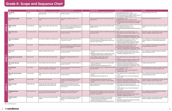### **Grade K: Scope and Sequence Chart**

|                     | Title                                     | <b>High-Frequency Words</b> | <b>Content Words</b>                                                                               | <b>Reading Comprehension Focus</b>                                                                                                     | <b>Foundational Skills</b>                                                                                                                                                                           | Language Skills                                                                                                                                                                                                                            | Writing                                                                                                                      |
|---------------------|-------------------------------------------|-----------------------------|----------------------------------------------------------------------------------------------------|----------------------------------------------------------------------------------------------------------------------------------------|------------------------------------------------------------------------------------------------------------------------------------------------------------------------------------------------------|--------------------------------------------------------------------------------------------------------------------------------------------------------------------------------------------------------------------------------------------|------------------------------------------------------------------------------------------------------------------------------|
|                     | <b>This Family</b><br>$GRL C^*$           | big, this                   | family, kite, glasses, movie, park, picnic, blanket,<br>store, sled, snow                          | Identify the main topic and retell key details of a<br>text. RI.K.2, RI.K.10                                                           | Read common high-frequency words by sight. RF.K.3c                                                                                                                                                   | · Print many lowercase letters. L.K.1a<br>• Capitalize the first word in a sentence. L.K.2a<br>· Sort common objects into categories to gain a sense of<br>the concepts the categories represent. L.K.5a                                   | Compose explanatory texts. W.K.2                                                                                             |
|                     | <b>Our Rooftop Garden</b><br><b>GRL C</b> | by, our, out                | bug, garden, grow, pot, roof, seeds, sow, trowel,<br>worm                                          | Retell stories, including key details. RL.K.2,<br><b>RL.K.10</b>                                                                       | Isolate and pronounce the final sound in three-phoneme<br>words. RF.K.2d                                                                                                                             | • Use prepositions. L.K.1e<br>• Capitalize the first word in a sentence. L.K.2a<br>• Distinguish shades of meaning among verbs describing<br>the same general action by acting out the meanings.<br>L.K.5d                                 | Participate in shared writing projects. W.K.7                                                                                |
|                     | <b>Night and Day</b><br>GRL C             | are, do, they, who          | bakers, cleaners, doctors, drivers, job, nurses,<br>police                                         | Name the author of a text and define the role of<br>the author and photographers in presenting the<br>ideas in a text. RI.K.6, RI.K.10 | Recognize and name upper- and lowercase letters of the<br>alphabet. RF.K.1d                                                                                                                          | • Print many lowercase letters. L.K.1a<br>• Use frequently occurring nouns. L.K.1b<br>. Use words acquired through reading and being read to.<br>L.K.6                                                                                     | Recall information from experiences to answer a question.<br>W.K.8                                                           |
|                     | <b>Sky's New Home</b><br><b>GRL C</b>     | an, me, new, old, said      | book, fine, game, home, phone, radio, switch                                                       | Ask and answer questions about key details in a<br>text. RL.K.1, RL.K.10                                                               | Substitute individual sounds in one-syllable words to make<br>new words, RF.K.2e                                                                                                                     | • Write a letter for most consonant sounds. L.K.2c<br>. Form regular plural nouns orally by adding /s/ or /es/.<br>L.K.1c<br>• Demonstrate understanding of frequently occurring<br>adjectives by relating them to their opposites. L.K.5b | Respond to questions and suggestions from peers and add<br>details to strengthen writing as needed. W.K.5                    |
|                     | <b>Emma the Elephant</b><br>GRL C         | now, off, she               | car, cool, doors, elephant, hat, monkey, parrot                                                    | Identify characters, settings, and major events in<br>a story. RL.K.3, RL.K.10                                                         | Demonstrate basic knowledge of one-to-one letter-<br>sound correspondences by producing the sounds for the<br>consonants c and m. RF.K.3a                                                            | . Use frequently occurring nouns and verbs. L.K.1b<br>• Understand and use question words. L.K.1d<br>• Demonstrate understanding of frequently occurring<br>verbs by relating them to their opposites. L.K.5b                              | Use a combination of drawing, dictating, and writing to<br>narrate a single event or several loosely linked events.<br>W.K.3 |
|                     | <b>The Panda</b><br><b>GRLD</b>           | look, see, the              | baby, bamboo, ears, eyes, fur, paw, thumb, warm                                                    | Name the author of a text and define the role of<br>the author and photographers in presenting the<br>ideas in a text. RI.K.6, RI.K.10 | Read common high-frequency words by sight. RF.K.3c                                                                                                                                                   | • Recognize and name end punctuation. L.K.2b<br>• Understand and use question words. L.K.1d<br>• Demonstrate understanding of frequently occurring<br>adjectives by relating them to their opposites. L.K.5b                               | Use a combination of drawing, dictating, and writing to<br>compose informative texts. W.K.2                                  |
|                     | Otis Is Lost<br>GRL D                     | asked, no, or               | elephant, hornbill, lizard, lost, rhino                                                            | Ask and answer questions about key details in a<br>text. RL.K.1, RL.K.10                                                               | • Associate the long o sound with its common spellings<br>$R$ F.K.3 $b$<br>• Recognize that spoken words are represented in written<br>language by specific sequences of letters. RF.K.1b            | • Use frequently occurring nouns and verbs. L.K.1b<br>• Determine the meaning of unknown words based on<br>kindergarten reading and content. L.K.4                                                                                         | Use a combination of drawing, dictating, and writing to<br>narrate a single event. W.K.3                                     |
| ш                   | The Meerkats' New Home<br><b>GRLD</b>     | back, from, into            | baby, dad, desert, hills, home, jungle, valley                                                     | Retell stories, including key details. RL.K.2,<br><b>RL.K.10</b>                                                                       | • Count syllables in spoken words. RF.K.2b<br>. Follow words from left to right. RF.K.1a                                                                                                             | • Form regular plural nouns orally by adding /s/ or /es/.<br>L.K.1c<br>• Determine or clarify the meaning of unknown words<br>based on kindergarten reading and content. L.K.4                                                             | Participate in shared research and writing projects. W.K.7                                                                   |
|                     | The People Museum<br>GRL D                | as, just, saw, two, well    | clever, hungry, museum, fast, strong, tall                                                         | Ask and answer questions about key details in a<br>text. RL.K.1, RL.K.10                                                               | • Blend and segment onsets and rimes of single-syllable<br>spoken words, RF.K.2c<br>• Recognize and produce rhyming words. RF.K.2a                                                                   | . Recognize and name end punctuation. L.K.2b<br>• Demonstrate understanding of frequently occurring<br>adjectives by relating them to their opposites. L.K.5b                                                                              | Compose opinion pieces. W.K.1                                                                                                |
|                     | <b>At the Market</b><br><b>GRLD</b>       | have, of, them              | bread, choose, farmers, fish, flowers, fresh, fruit,<br>market, sell, shoppers, stalls, vegetables | Ask and answer questions about key details in a<br>text. RI.K.1, RI.K.10                                                               | Substitute individual sounds in one-syllable words to make<br>new words. RF.K.2e                                                                                                                     | $\bullet$ Print many lowercase letters. L.K.1a<br>• Use prepositions. L.K.1e<br>• Use the affix un- as a clue to the meaning of an<br>unknown word. L.K.4b                                                                                 | Recall information from experiences or gather information<br>from provided sources to answer a question. W.K.8               |
|                     | <b>When We Started School</b><br>GRL D    | made, play, then            | friends, learned, music, numbers, started, teams,<br>word                                          | Ask and answer questions about key details in a<br>text. RI.K.1, RI.K.10                                                               | • Associate the long a sound with its common spellings.<br>RF.K.3b<br>. Follow words from left to right. RF.K.1a                                                                                     | . Form regular plural nouns orally by adding /s/ or /es/.<br>L.K.1c<br>• Use the inflection -ed as a clue to the meaning of a<br>word. L.K.4b                                                                                              | Use a combination of drawing, dictating, and writing to<br>compose opinion pieces. W.K.1                                     |
|                     | <b>My Family</b><br>GRL D                 | came, here, like            | baby, brother, home, hug, play                                                                     | Describe the relationship between illustrations<br>and the story in which they appear. RL.K.7,<br><b>RL.K.10</b>                       | • Recognize and produce rhyming words. RF.K.2a<br>• Associate the long o sound with its common spellings.<br>$R$ F.K.3 $b$                                                                           | • Recognize and name end punctuation. L.K.2b<br>• Demonstrate understanding of frequently occurring<br>adjectives by relating them to their opposites. L.K.5b                                                                              | Respond to questions and suggestions from peers and add<br>details to strengthen writing as needed. W.K.5                    |
| $\bullet$<br>ш<br>ш | <b>What Are They?</b><br>GRL D            | called, were, your          | animals, eggs, fish, frogs, hatched, home,<br>hopping, jar, legs, pond, swimming, tails            | Name the author and illustrator of a story<br>and define the role of each in telling the story.<br>RL.K.6, RL.K.10                     | Blend and segment onsets and rimes of single-syllable<br>spoken words, RF.K.2c                                                                                                                       | . Understand and use question words. L.K.1d<br>. Form regular plural nouns orally by adding /s/ or /es/.<br>L.K.1c<br>• Use the inflection -ed as a clue to the meaning of a<br>word. L.K.4b                                               | Participate in shared research and writing projects. W.K.7                                                                   |
|                     | <b>Changing Seasons</b><br>GRL D          | after, come, that, will     | cool, cozy, end, fall, grow, leaves, plants, sleep,<br>spring, summer, sun, trees, warm, winter    | Describe the connection between pieces of<br>information in a text. RI.K.3, RI.K.10                                                    | Demonstrate basic knowledge of one-to-one letter-sound<br>correspondences by producing the primary sounds for the<br>consonants c and g. RF.K.3a                                                     | . Write letters for short vowel sounds. L.K.2c<br>• Use frequently occurring nouns. L.K.1b<br>• Determine or clarify the meaning of words based on<br>kindergarten reading and content. L.K.4                                              | Use a combination of drawing, dictating, and writing to<br>compose informative texts. W.K.2                                  |
|                     | I Must Be Quick<br>GRL D                  | be, must, only              | clowns, ice cream, melt, minute, quick, rides,<br>watched                                          | Describe the relationship between illustrations<br>and the story in which they appear. RL.K.7,<br>RL.K.10                              | · Demonstrate basic knowledge of one-to-one letter-<br>sound correspondences by producing the primary<br>sounds for the consonant q. RF.K.3a<br>. Read common high-frequency words by sight. RF.K.3c | • Capitalize the first word in a sentence and the pronour<br>I. L.K.2a<br>• Demonstrate understanding of adjectives by relating<br>them to their opposites. L.K.5b                                                                         | Respond to questions and suggestions from peers and add<br>details to strengthen writing as needed. W.K.5                    |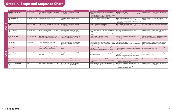### **Grade K: Scope and Sequence Chart**

|               | <b>Title</b>                               | <b>High-Frequency Words</b> | <b>Content Words</b>                                                                                   | <b>Reading Comprehension Focus</b>                                                                                 | <b>Foundational Skills</b>                                                                                                                                                              | <b>Language Skills</b>                                                                                                                                                               | Writing                                                                                                                      |
|---------------|--------------------------------------------|-----------------------------|--------------------------------------------------------------------------------------------------------|--------------------------------------------------------------------------------------------------------------------|-----------------------------------------------------------------------------------------------------------------------------------------------------------------------------------------|--------------------------------------------------------------------------------------------------------------------------------------------------------------------------------------|------------------------------------------------------------------------------------------------------------------------------|
|               | <b>Grandma Went to School</b><br>$GRL E^*$ | her, hers, where            | chalk, computers, desks, games, markers, pencils,<br>photographs, skipped, tables, teacher             | Ask and answer questions about key details in a<br>text. RL.K.1, RL.K.10                                           | • Associate the long o sound with its common spellings.<br>$R$ F.K.3b<br>. Recognize that spoken words are represented in written<br>language by specific sequences of letters. RF.K.1b | · Use prepositions. L.K.1e<br>• Use affixes as a clue to the meaning of a word. L.K.4b                                                                                               | Use a combination of drawing, dictating, and writing to<br>compose explanatory texts. W.K.2                                  |
|               | The Shopping List<br>GRL E                 | got, his, right, want, yes  | bake, butter, cake, eggs, flour, fruit, milk,<br>shopping list, sons, sugar                            | Retell stories, including key details. RL.K.2,<br>RL.K.10                                                          | Recognize and produce rhyming words. RF.K.2a                                                                                                                                            | . Write letters for short vowel sounds. L.K.2c<br>· Understand and use question words. L.K.1d<br>• Demonstrate understanding of verbs by relating them to<br>their opposites. L.K.5b | Respond to questions and suggestions from peers and add<br>details to strengthen writing as needed. W.K.5                    |
| ш<br>m        | <b>Tigers</b><br><b>GRL E</b>              | about, there, these         | Asia, cats, cubs, hunt, protect, safe, sleep, stripes,<br>swim, tigers, wild                           | Ask and answer questions about key details in a<br>text. RI.K.1, RI.K.10                                           | Substitute individual sounds in one-syllable<br>words to make new words. RF.K.2e                                                                                                        | · Understand and use question words. L.K.1d<br>• Capitalize the first word in a sentence. L.K.2a<br>. Use words acquired through reading and being read to.<br>L.K.6                 | Participate in shared research and writing projects. W.K.7                                                                   |
|               | The Ice Festival<br>GRL E                  | before, could, him          | autumn, dragon boat, festival, ice, kite, moon,<br>spring, summer, winter                              | Name the author and illustrator of a story<br>and define the role of each in telling the story.<br>RL.K.6, RL.K.10 | • Associate the long a sound with its common spellings.<br>RF.K.3b<br>. Understand that words are separated by spaces in print.<br>RF.K.1c                                              | • Recognize and name end punctuation. L.K.2b<br>• Clarify the meaning of words. L.K.4                                                                                                | Use a combination of drawing, dictating, and writing to<br>narrate a single event or linked events. W.K.3                    |
|               | <b>How Doctors Help</b><br><b>GRL E</b>    | help, more, other, their    | bones, doctors, ears, eyes, hearing, hospital,<br>hurt, patients, problems, sick, teeth, tests, X-rays | Describe the relationship between photos and<br>the text in which they appear. RI.K.7, RI.K.10                     | • Count syllables in spoken words. RF.K.2b<br>. Follow words from left to right. RF.K.1a                                                                                                | . Form regular plural nouns orally by adding /s/ or /es/.<br>L.K.1c<br>• Use the inflection -s as a clue to the meaning of a word.<br>1. K. 4h                                       | Recall information from experiences or gather information<br>from provided sources to answer a question. W.K.8               |
|               | <b>The Blizzard</b><br>GRL E               | after, am, will             | chairlift, mountain, skier, skiing, wind                                                               | Describe the relationship between illustrations<br>and the story in which they appear. RL.K.7,<br>RL.K.10          | . Read common high-frequency words by sight. RF.K.3c<br>• Recognize that spoken words are represented in written<br>language by specific sequences of letters. RF.K.1b                  | · Use prepositions. L.K.1e<br>• Use affixes as a clue to the meaning of a word. L.K.4b                                                                                               | Use a combination of drawing, dictating, and writing to<br>narrate a single event or several loosely linked events.<br>W.K.3 |
|               | A Fun Day<br><b>GRL E</b>                  | what                        | clothes, dancing, fire, flower, groom, hands,<br>jewels, married, music, necklaces, paint              | Retell stories, including key details. RL.K.2,<br><b>RL.K.10</b>                                                   | • Associate the long e sound with its common spellings.<br>$R$ F.K.3b<br>• Substitute individual sounds in one-syllable words to<br>make new words. RF.K.2e                             | · Understand and use question words. L.K.1d<br>· Identify real-life connections between words and their<br>use, $L.K.5c$                                                             | Use a combination of drawing, dictating, and writing to<br>compose informative texts. W.K.2                                  |
| ထ<br>m.<br>пı | <b>Making Things</b><br>GRL E              | five, make, think           | bakers, birds, bread, builders, eggs, nests, paper,<br>plane, shed                                     | Identify the major events in a story. RL.K.3,<br><b>RL.K.10</b>                                                    | Blend and segment onsets and rimes of single-syllable<br>spoken words. RF.K.2c                                                                                                          | . Form regular plural nouns orally by adding /s/ or /es/.<br>L.K.1c<br>• Determine the meaning of unknown words based on<br>kindergarten reading and content. L.K.4                  | Use a combination of drawing, dictating, and writing to<br>narrate linked events. W.K.3                                      |
|               | <b>Special Days</b><br>GRL E               | day, sing                   | dance, fireworks, flowers, kites, parades, special,<br>treats                                          | Describe the relationship between photos and<br>the text in which they appear. RI.K.7, RI.K.10                     | · Count syllables in spoken words. RF.K.2b<br>• Understand that words are separated by spaces in print.<br>REK.1c                                                                       | • Use frequently occurring nouns and verbs. L.K.1b<br>. Determine or clarify the meaning of words based on<br>kindergarten reading and content. L.K.4                                | Participate in shared research and writing projects. W.K.7                                                                   |
|               | <b>Make a Hat and a Mask</b><br>GRL E      | down, if                    | card, costume, glitter, glue, mask, party, scissors,<br>shape, size                                    | Describe the connection between pieces of<br>information in a text. RLK.3, RLK.10                                  | Demonstrate basic knowledge of one-to-one letter-sound<br>correspondences by producing the primary sounds for the<br>consonant g. RF.K.3a                                               | . Form regular plural nouns orally by adding /s/ or /es/<br>L.K.1c<br>• Determine or clarify the meaning of phrases based on<br>kindergarten reading and content. L.K.4              | Use a combination of drawing, dictating, and writing to<br>compose informative texts. W.K.2                                  |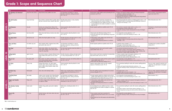### **Grade 1: Scope and Sequence Chart**

|                     | Title                                | <b>High-Frequency Words</b> | <b>Content Words</b>                                                                                                                                                     | Reading Comprehension Focus                                                                                     | <b>Foundational Skills</b>                                                                                                                                                                                                                 | Language Skills                                                                                                                                                                                                                                                     | Writing                                                                                                    |
|---------------------|--------------------------------------|-----------------------------|--------------------------------------------------------------------------------------------------------------------------------------------------------------------------|-----------------------------------------------------------------------------------------------------------------|--------------------------------------------------------------------------------------------------------------------------------------------------------------------------------------------------------------------------------------------|---------------------------------------------------------------------------------------------------------------------------------------------------------------------------------------------------------------------------------------------------------------------|------------------------------------------------------------------------------------------------------------|
|                     | The Monkeys Go Bananas!<br>$GRL F^*$ | jump, left, room, took, us  | baby, bananas, boat, paddle, river, twins                                                                                                                                | Use illustrations and details in a story to<br>describe its characters, setting, and events.<br>RL.1.7, RL.1.10 | Orally produce single-syllable words by blending the final<br>consonants mp. RF.1.2b                                                                                                                                                       | • Produce and expand complete simple and compound imperative<br>sentences in response to prompts. L.1.1j<br>• Use exclamation points for sentences. L.1.2b<br>• Determine the meaning of a multiple-meaning word using sentence-<br>level context as a clue. L.1.4a | Write narratives, using temporal words to<br>signal event order. W.1.3                                     |
| ໑                   | <b>The Bell Garden</b><br>GRL F      | away, hand, keep            | busy, chickens, computer, flowers, garden, gloves,<br>job, junk, scarecrow, secret, surprise, tidy, worm                                                                 | Describe major events in a story, using key<br>details. RL.1.3, RL.1.10                                         | • Know the common vowel team conventions for<br>representing long vowel sounds, including ai. RF.1.3c<br>. Use knowledge that every syllable must have a vowel<br>sound to determine the number of syllables in a printed<br>word, RF.1.3d | • Use end punctuation for sentences, including question marks. L.1.2b<br>· Distinguish shades of meaning among verbs differing in manner by<br>acting out the meanings. L.1.5d                                                                                      | Write informative texts. W.1.2                                                                             |
| ш<br>$\blacksquare$ | <b>Cool Bananas</b><br><b>GRLF</b>   | eat, give                   | bananas, eat, energy, farmers, flowers, fruit,<br>grow, herb, leaves, minerals, peel, plant, seeds,<br>shade, vitamins                                                   | Answer questions about key details in a text.<br>RI.1.1, RI.1.10                                                | Decode regularly spelled one-syllable words. RF.1.3b                                                                                                                                                                                       | • Use commas to separate single words in a series. L.1.2c<br>• Use frequently occurring conjunctions. L.1.1g<br>• Clarify the meaning of words choosing from an array of strategies.<br>L.1.4                                                                       | Participate in a shared research and writing<br>project. W.1.7                                             |
|                     | <b>Being Famous</b><br><b>GRLF</b>   | best, how, which            | blind, clever, deaf, famous, inventor, ruler, talent,<br>trained                                                                                                         | Answer questions about key details in a text.<br>RI.1.1, RI.1.10                                                | • Read words with inflectional endings. RF.1.3f<br>• Know the vowel team ay for representing a long vowel<br>sound. RF.1.3c                                                                                                                | . Use frequently occurring adjectives. L.1.1f<br>• Use affixes as a clue to the meaning of a word. L.1.4b                                                                                                                                                           | Write informative texts. W.1.2                                                                             |
|                     | Fly, Baby Birds!<br>GRL F            | bird, fly, four, red        | babies, dive, flap, fly, glide, nest, wings                                                                                                                              | Describe characters and major events in a story<br>using key details. RL.1.3, RL.1.10                           | . Orally produce single-syllable words with the final<br>consonant blend ng. RF.1.2b<br>. Recognize the distinguishing features of a sentence.<br>RE1.1a                                                                                   | · Use personal pronouns. L.1.1d<br>. Distinguish shades of meaning among verbs by acting out the<br>meanings. L.1.5d                                                                                                                                                | Write informative texts. W.1.2                                                                             |
|                     | <b>Then and Now</b><br><b>GRL F</b>  | let, mother, says, too      | bake, changed, clothes, computer, home, office,<br>park, photo, radio, stores, TV                                                                                        | Use illustrations and details in a story to<br>describe its characters, setting, and events.<br>RL.1.7, RL.1.10 | Decode regularly spelled one-syllable words. RF.1.3b                                                                                                                                                                                       | • Capitalize names of people. L.1.2a<br>. Print upper- and lowercase letters. L.1.1a<br>• Identify root words and their inflectional forms. L.1.4c                                                                                                                  | Use digital tools to produce and publish<br>writing. W.1.6                                                 |
| 0                   | Hip-Hop!<br>GRL F                    | read, words                 | better, broke, children, class, danced, drum,<br>email, guitar, hospital, nurses, phone, played,<br>sang, sick, song, video                                              | Ask and answer questions about key details in a<br>text. RL.1.1, RL.1.10                                        | Distinguish long from short vowel sounds in spoken<br>single-syllable words. RF.1.2a                                                                                                                                                       | . Use personal and possessive pronouns. L.1.1d<br>• Use verbs to convey a sense of past, present, and future. L.1.1e<br>. Use words and phrases acquired through reading, including using<br>conjunctions to signal simple relationships. L.1.6                     | Write narratives. W.1.3                                                                                    |
| ᆸ                   | <b>Sailing North</b><br>GRL F        | again, far, own             | boat, broke, compass, computer, followed, home,<br>island, needle, north, points, sail, sea, storm,<br>wave                                                              | Describe characters, settings, and major events<br>in a story, using key details. RL.1.3, RL.1.10               | Know common vowel team conventions for representing<br>long vowel sounds, such as ea. RF.1.3c                                                                                                                                              | · Produce complete simple interrogative sentences. L.1.1j<br>• Use end punctuation for sentences. L.1.2b<br>· Identify root words and their inflectional forms. L.1.4c                                                                                              | Write narratives. W.1.3                                                                                    |
| íп                  | Way to Go!<br><b>GRLF</b>            | fast, going, walk           | bike, camels, cars, electric, machines, mini-<br>subs, moving, parking, planes, snowmobiles,<br>spaceships, steam trains, trucks                                         | Identify the main topic and retell key details of a<br>text. RI.1.2, RI.1.10                                    | • Isolate and pronounce initial and final sounds in spoken<br>single-syllable words. RF.1.2c<br>. Read words with inflectional endings. RF.1.3f                                                                                            | • Use frequently occurring adjectives. L.1.1f<br>· Identify real-life connections between words and their use. L.1.5d                                                                                                                                               | Write opinion pieces. W.1.1                                                                                |
|                     | <b>Car Parts</b><br><b>GRL F</b>     | always, step                | airbags, body, buttons, cars, dials, engine,<br>factories, glass, joining, melted, metal, nylon,<br>plastic, rubber, safety, seatbelts, shapes, steel,<br>tires, windows | Answer questions about key details in a text.<br>RI.1.1, RI.1.10                                                | Segment single-syllable words into their complete<br>sequence of individual sounds. RF.1.2d                                                                                                                                                | • Use conventional spelling for words with common spelling patterns.<br>L.1.2d<br>• Produce and expand simple declarative sentences. L.1.1j<br>• Clarify the meaning of words, choosing from an array of strategies.                                                | Focus on a topic, respond to questions and<br>suggestions, and add details to strengthen<br>writing. W.1.5 |
|                     | <b>No Rules Day</b><br>GRL G         | hold, people                | clean, rules, safe, Saturday, Sunday                                                                                                                                     | Retell a story, including details, and demonstrate<br>understanding of the central lesson. RL.1.2,<br>RL.1.10   | Know the spelling-sound correspondences for common<br>consonant digraphs. RF.1.3a                                                                                                                                                          | • Use proper nouns. L.1.1b<br>• Capitalize dates and names of people. L.1.2a<br>· Identify real-life connections between words and their use. L.1.5c                                                                                                                | Focus on a topic, respond to questions and<br>suggestions, and add details to strengthen<br>writing. W.1.5 |
|                     | <b>Counting Down</b><br>GRL G        | take, today                 | audience, band, calendar, final, Friday, Monday,<br>music, practice, Saturday, show, solo, Sunday,<br>Thursday, trumpet, Tuesday, Wednesday                              | Use illustrations and details in a story to<br>describe its characters, setting, and events.<br>RL.1.7, RL.1.10 | . Decode regularly spelled one-syllable words and two-<br>syllable words following basic patterns. RF.1.3b, RF.1.3e<br>. Read grade-level text orally with accuracy. RF.1.4b                                                               | . Use frequently occurring prepositions. L.1.1i<br>$\bullet$ Use context as a clue to the meaning of a word. L.1.4a                                                                                                                                                 | Write narratives. W.1.3                                                                                    |
| ய                   | <b>Bigger and Smaller</b><br>GRL G   | things, work                | air, balloon, bigger, bottle, colder, freezes, hotter,<br>ice, popcorn, smaller                                                                                          | Describe connections between pieces of<br>information in a text. RI.1.3, RI.1.10                                | . Orally produce single-syllable words with the final<br>consonant blend ng. RF.1.2b<br>• Recognize the distinguishing features of a sentence.<br>RE1.1a                                                                                   | • Produce complete simple and compound interrogative sentences in<br>response to prompts. L.1.1 <i>j</i><br>. Use sentence-level context as a clue to the meaning of a word. L.1.4a                                                                                 | Write explanatory texts. W.1.2                                                                             |
| ш                   | The Bamboo Family<br>GRL G           | loved, round                | bamboo, frogs, garden, grew, plant, tadpoles,<br>weeks                                                                                                                   | Retell stories, including key details. RL.1.2,<br>RL.1.10                                                       | Use knowledge that every syllable must have a vowel<br>sound to determine the number of syllables in a printed<br>word. RF.1.3d                                                                                                            | . Use conventional spelling for words with common spelling patterns.<br>L.1.2d<br>. Use verbs to convey a sense of past, present, and future. L.1.1e<br>. Identify frequently occurring root words and their inflectional forms.<br>L.1.4c                          | Write informative texts. W.1.2                                                                             |
|                     | <b>Desert Life</b><br>GRL G          | night, tree                 | animals, burrows, cold, colors, desert, dry, heat,<br>hot, rain, sand                                                                                                    | Ask and answer questions about key details in a<br>text. RI.1.1, RI.1.10                                        | • Know common vowel team conventions for<br>representing long vowel sounds, such as y as a vowel.<br>RF.1.3c<br>. Read grade-level text with purpose and understanding.<br>RF.1.4a                                                         | • Use frequently occurring adjectives. L.1.1f<br>• Clarify the meaning of words, choosing from an array of strategies.<br>L.1.4                                                                                                                                     | Write opinion pieces. W.1.1                                                                                |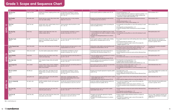### **Grade 1: Scope and Sequence Chart**

|             | Title                                    | <b>High-Frequency Words</b> | <b>Content Words</b>                                                                                                           | <b>Reading Comprehension Focus</b>                                                                                  | <b>Foundational Skills</b>                                                                                                                                                                            | Language Skills                                                                                                                                                                                                                                          | Writing                                                                                                           |
|-------------|------------------------------------------|-----------------------------|--------------------------------------------------------------------------------------------------------------------------------|---------------------------------------------------------------------------------------------------------------------|-------------------------------------------------------------------------------------------------------------------------------------------------------------------------------------------------------|----------------------------------------------------------------------------------------------------------------------------------------------------------------------------------------------------------------------------------------------------------|-------------------------------------------------------------------------------------------------------------------|
|             | <b>Big Day Out</b><br>GRL G*             | many, run, three            | birthday, busy, flowers, laughing, perfume, roads,<br>stores, town                                                             | Use illustrations and details in a story to<br>describe its characters, setting, and events.<br>RL.1.7, RL.1.10     | Decode regularly spelled one-syllable words. RF.1.3b                                                                                                                                                  | · Use personal pronouns. L.1.1d<br>• Produce complete declarative sentences in response to prompts. L.1.1j<br>. Use words and phrases acquired through reading, including using<br>conjunctions to signal simple relationships. L.1.6                    | Write narratives. W.1.3                                                                                           |
|             | <b>Trip Trouble</b><br>GRL G             | bad, under, write           | bicycles, boat, bus, cousins, diary, tractor, trailer,<br>train, trip, trouble, walking                                        | Describe major events in a story, using key<br>details. RL.1.3, RL.1.10                                             | Recognize and read grade-appropriate words with the<br>r-controlled vowel o as in for. RF.1.3                                                                                                         | • Demonstrate understanding of personal and possessive pronouns.<br>L.1.1d<br>· Identify end punctuation. L.1.2b<br>• Use picture clues to clarify a word's meaning. L.1.4                                                                               | Write narratives. W.1.3                                                                                           |
| ш           | <b>Oily Feet</b><br>GRL G                | black, live, near           | animals, beach, clean, crashed, feathers, feet, oil,<br>penguin, rescue, ship, swim                                            | Answer questions about key details in a text.<br>RL.1.1, RL.1.10                                                    | Decode words following basic patterns by breaking the<br>words into syllables. RF.1.3e                                                                                                                | • Use frequently occurring affixes as a clue to the meaning of a word.<br>L.1.4b<br>• Use frequently occurring prepositions. L.1.1i<br>• Clarify the meaning of words, choosing from an array of strategies.<br>L.1.4                                    | Write narratives. W.1.3                                                                                           |
| ĹЦ          | The Day Sky<br>GRL G                     | found, may                  | brightest, clouds, foggy, heats, moon, rain,<br>rainbow, shadow, sky, sun                                                      | Use the illustrations and details in a text to<br>describe its key ideas. RI.1.7, RI.1.10                           | • Use knowledge that every syllable must have a vowel<br>sound to determine the number of syllables in a printed<br>word, RF.1.3d<br>. Recognize the distinguishing features of a sentence.<br>RE1.1a | • Use articles, L.1.1h<br>. Use frequently occurring affixes as a clue to the meaning of a word.<br>L.1.4b                                                                                                                                               | Write opinion pieces. W.1.1                                                                                       |
|             | <b>Weather Tools</b><br>GRL G            | put, tell                   | anemometer, change, cold, hot, maps, rain, rain<br>gauge, sun, thermometer, weather, weather<br>vane, wind                     | Ask and answer questions about key details in a<br>text. RI.1.1. RI.1.10                                            | Decode regularly spelled one-syllable words, including<br>words with the r-controlled vowel ur. RF.1.3b                                                                                               | . Use singular and plural nouns with matching verbs in basic sentences.<br>L.1.1c<br>• Use end punctuation for sentences. L.1.2b<br>• Sort words into categories to gain a sense of the concepts the<br>categories represent. L.1.5a                     | Recall information from experiences or<br>gather information from provided sources<br>to answer a question. W.1.8 |
|             | <b>A Star Named Jade</b><br><b>GRL H</b> | didn't, find, white         | chart, moon, night, shooting, sky, star, telescope                                                                             | Describe characters and major events in a story<br>using key details. RL.1.3, RL.1.10                               | Orally produce single-syllable words by blending sounds<br>including the consonant blend st. RF.1.2b                                                                                                  | · Identify real-life connections between words and their use. L.1.5c<br>• Use verbs to convey a sense of past, present, and future. L.1.1e<br>• Distinguish shades of meaning among adjectives. L.1.5d                                                   | Use digital tools to produce and publish<br>writing. W.1.6                                                        |
| m           | <b>Dear Penpal</b><br>GRL H              | father, once, would         | city, email, explore, jungle, penpal, rainforest                                                                               | Use illustrations and details in a story to<br>describe its characters. RL.1.7, RL.1.10                             | • Distinguish long from short vowel sounds. RF.1.2a<br>• Read words with inflectional endings. RF.1.3f                                                                                                | • Use end punctuation. L.1.2b<br>. Identify frequently occurring root words and their inflectional forms.<br>L.1.4c                                                                                                                                      | Write opinion pieces. W.1.1                                                                                       |
| 긂           | <b>Insect Bodies</b><br><b>GRL H</b>     | head, kinds                 | body parts, bones, eyes, feelers, insects, legs,<br>mouth, outer body, wings                                                   | Ask and answer questions about key details in a<br>text. RI.1.1, RI.1.10                                            | • Know the spelling-sound correspondences for common<br>consonant digraphs. RF.1.3a<br>• Read grade-level text orally with accuracy. RF.1.4b                                                          | • Use articles, L.1.1h<br>• Use sentence-level context as a clue to the meaning of a word. L.1.4a                                                                                                                                                        | Write opinion pieces. W.1.1                                                                                       |
|             | The Cake Sale<br><b>GRL H</b>            | bring, done                 | cake, computers, hungry, money, sale, upside-<br>down                                                                          | Ask and answer questions about key details in a<br>text. RL.1.1, RL.1.10                                            | Know the spelling-sound correspondences for common<br>consonant digraph kn. RF.1.3a                                                                                                                   | • Use frequently occurring prepositions. L.1.1i<br>• Capitalize dates and names of people. L.1.2a<br>· Identify real-life connections between words and their use. L.1.5c                                                                                | Write narratives. W.1.3                                                                                           |
|             | Jobs People Do<br><b>GRL H</b>           | don't, should               | animals, builders, doctors, farmers, firefighters,<br>gardeners, nurses, outdoors, planes, plants,<br>police, rescue, teachers | Identify the main topic and retell key details of a<br>text. RI.1.2, RI.1.10                                        | Know common vowel team conventions for representing<br>long vowel sounds, such as ea. RF.1.3c                                                                                                         | • Use commas to separate single words in a series. L.1.2c<br>• Use frequently occurring conjunctions. L.1.1g<br>• Use frequently occurring suffixes as a clue to the meaning of a word.<br>L.1.4b                                                        | Write informative texts. W.1.2                                                                                    |
|             | The Ice Lantern<br>GRL H                 | fell, little, sat           | bucket, candle, China, cold, dragon, fire, fish,<br>flooded, frozen, ice, lantern, net, river, snow,<br>winters                | Use illustrations and details in a story to<br>describe its characters, setting, and events.<br>RL.1.7, RL.1.10     | Recognize and read grade-appropriate irregularly spelled<br>words. RF.1.3g                                                                                                                            | • Use proper nouns. L.1.1b<br>• Print all upper- and lowercase letters. L.1.1a<br>. Identify frequently occurring root words and their inflectional forms.<br>L.1.4c                                                                                     | Use a variety of digital tools to produce and<br>publish writing. W.1.6                                           |
|             | Lost!<br><b>GRL H</b>                    | gave, green, very           | compass, GPS, lost, map, maze, paths, phone,<br>police, puzzle, tracked                                                        | Retell stories, including key details, and<br>demonstrate understanding of their central<br>lesson. RL.1.2, RL.1.10 | • Isolate and pronounce initial and final sounds in spoken<br>single-syllable words. RF.1.2c<br>• Read grade-level text orally with accuracy. RF.1.4b                                                 | . Use singular and plural nouns with matching verbs in basic sentences.<br>L.1.1c<br>• Define words by category and by one or more key attributes. L.1.5b                                                                                                | Write informative texts. W.1.2                                                                                    |
| ↴<br>ш<br>≅ | Life of a Butterfly<br>GRL H             | last, open, soon            | butterfly, caterpillar, chrysalis, cycle, egg, grow,<br>life, stages                                                           | Describe the connection between two events or<br>pieces of information in a text. RI.1.3, RI.1.10                   | Decode two-syllable words following basic patterns by<br>breaking the words into syllables. RF.1.3e                                                                                                   | • Sort words into categories to gain a sense of the concepts the<br>categories represent. L.1.5a<br>. Use verbs to convey a sense of past, present, and future. L.1.1e<br>• Clarify the meaning of words, choosing from an array of strategies.<br>1.1.4 | Gather information from provided sources<br>to answer a question. W.1.8                                           |
|             | <b>The Lion City</b><br>GRL H            | any, long                   | animal, beach, boat, brave, city, crown, hunt,<br>island, lion, prince, ruler, sea                                             | Ask and answer questions about key details in a<br>text. RL.1.1, RL.1.10                                            | Distinguish long from short vowel sounds in spoken<br>single-syllable words. RF.1.2a                                                                                                                  | . Identify frequently occurring root words and their inflectional forms.<br>L.1.4c<br>• Use frequently occurring adjectives. L.1.1f<br>• Determine the meaning of multiple-meaning words. L.1.4                                                          | Write opinion pieces. W.1.1                                                                                       |
|             | <b>Food for All</b><br>GRL H             | need, time, why             | animals, catch, energy, food chain, forests, hunt,<br>meat, plants, sizes, sun, teeth                                          | Know and use various text features to locate<br>information in a text. RI.1.5, RI.1.10                              | • Recognize and read grade-appropriate irregularly<br>spelled words. RF.1.3g<br>. Recognize the distinguishing features of a sentence.<br><i>RF.1.1a</i>                                              | • Produce complete, simple, declarative sentences in response to<br>prompts. L.1.1 <i>j</i><br>• Sort words into categories to gain a sense of the concepts the<br>categories represent. L.1.5a                                                          | Focus on a topic, respond to questions and<br>suggestions, and add details to strengthen<br>writing. W.1.5        |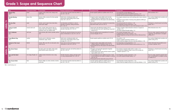# **Grade 1: Scope and Sequence Chart**

|              | <b>Title</b>                         | High-Frequency Words      | Content Words                                                                                                                            | <b>Reading Comprehension Focus</b>                                                                                   | <b>Foundational Skills</b>                                                                                                                                                                 | Language Skills                                                                                                                                                                      | Writing                                                                                                         |
|--------------|--------------------------------------|---------------------------|------------------------------------------------------------------------------------------------------------------------------------------|----------------------------------------------------------------------------------------------------------------------|--------------------------------------------------------------------------------------------------------------------------------------------------------------------------------------------|--------------------------------------------------------------------------------------------------------------------------------------------------------------------------------------|-----------------------------------------------------------------------------------------------------------------|
|              | <b>Magnet Boy</b><br>$GRLI^*$        | house                     | magnets, metal, school, stick, strange, stuck,<br>talent show                                                                            | Ask and answer questions about key details in a<br>text. RL.1.1, RL.1.10                                             | Decode regularly spelled one-syllable words. RF.1.3b                                                                                                                                       | • Use frequently occurring adjectives. L.1.1f<br>• Use personal, possessive, and indefinite pronouns. L.1.1d<br>· Identify real-life connections between words and their use. L.1.5c | Write narratives. W.1.3                                                                                         |
| ഥ            | <b>Greedy Monkey</b><br>GRL I        | please, than              | bananas, chilies, coconuts, fire, forest, greedy,<br>help, lesson                                                                        | Retell stories, including key details, and<br>demonstrate understanding of their central<br>lesson. RL.1.2, RL.1.10  | • Segment spoken single-syllable words into their<br>complete sequence of individual sounds. RF.1.2d<br>. Read grade-level text with purpose and understanding.<br>RE1.4a                  | • Use singular and plural nouns with matching verbs in basic sentences.<br>L.1.1c<br>· Distinguish among shades of meaning among adjectives differing in<br>intensity. L.1.5d        | Use a variety of digital tools to produce and<br>publish writing. W.1.6                                         |
| ΕL           | The Eco Park<br>GRL I                | water                     | animals, council, expert, forest, lake, letters,<br>nature, park, rangers                                                                | Use illustrations and details in a story to<br>describe its characters, setting, and events.<br>RL.1.7, RL.1.10      | Know common vowel team conventions for representing<br>long vowel sounds, such as ee. RF.1.3c                                                                                              | • Use end punctuation for sentences. L.1.2b<br>. Use frequently occurring conjunctions. L.1.1g<br>• Use sentence-level context as a clue to the meaning of a word. L.1.4a            | Participate in a shared research and writing<br>project. W.1.7                                                  |
| $\mathbf{E}$ | <b>Living on Earth</b><br>GRL I      | around, small, such       | Arctic, Canada, climate, deserts, high, ice,<br>islands, lakes, llamas, Malaysia, mountains,<br>rainforests, rivers, sea, weather, world | Use the illustrations and details in a text to<br>describe its key ideas. RI.1.7, RI.1.10                            | • Read words with inflectional endings. RF.1.3f<br>• Know the vowel team ay for representing a long vowel<br>sound. RF.1.3c                                                                | • Produce complete, simple, declarative sentences in response to<br>prompts. L.1.1i<br>• Use words acquired through reading, L.1.6                                                   | Write informative texts. W.1.2                                                                                  |
|              | Let's Celebrate<br>GRL I             | each, year                | family, festivals, gifts, lanterns, parades, perform,<br>roles                                                                           | Describe the connection between two events or<br>pieces of information in a text. RI.1.3, RI.1.10                    | Know the spelling-sound correspondences for common<br>consonant digraphs. RF.1.3a                                                                                                          | • Use common and proper nouns. L.1.1b<br>• Capitalize dates and names of people. L.1.2a<br>. Identify frequently occurring root words and their inflectional forms.<br>L.1.4c        | Focus on a topic, respond to questions and<br>suggestions, and add details to strengthen<br>writing. W.1.5      |
|              | <b>Crazy Wheels Day</b><br>GRL I     | another                   | bicycles, go-kart, rollerskates, scooters,<br>skateboards, wagon, wheels                                                                 | Retell stories, including key details, and<br>demonstrate understanding of their central<br>message. RL.1.2, RL.1.10 | Decode regularly spelled one-syllable words. RF.1.3b                                                                                                                                       | · Use articles, L.1.1h<br>• Produce complete exclamatory sentences. L.1.1j<br>• Define words by category or by one or more key attributes. L.1.5b                                    | Use a variety of digital tools to produce and<br>publish writing. W.1.6                                         |
| $\mathbf{S}$ | <b>Animals of the Coast</b><br>GRL I | behind                    | animals, cliffs, coast, fish, ice, land, pools, rocks,<br>sand, sea, sky                                                                 | Know and use various text features to locate<br>information in a text. RI.1.5, RI.1.10                               | • Segment spoken single-syllable words into their<br>complete sequence of individual sounds. RF.1.2d<br>. Read grade-level text with purpose and understanding.<br>RE1.4a                  | • Use frequently occurring prepositions. L.1.1i<br>· Identify real-life connections between words and their use. L.1.5c                                                              | Gather information from provided sources<br>to answer a question. W.1.8                                         |
| <b>TEVEL</b> | <b>The Green House</b><br>GRL I      | never                     | fuel, glass, green, heat, lights, metals, paper,<br>planet, plastics, power, recycle, trash                                              | Identify the main topic and retell key details of a<br>text. RI.1.2. RI.1.10                                         | • Recognize and read grade-appropriate irregularly<br>spelled words. RF.1.3q<br>• Isolate and pronounce initial and final sounds in spoken<br>single-syllable words. RF.1.2c               | • Use commas to separate single words in a series. L.1.2c<br>• Sort words into categories to gain a sense of the concepts the<br>categories represent. L.1.5a                        | Participate in a shared research and writing<br>project. W.1.7                                                  |
|              | <b>Zara and the Band</b><br>GRL I    | ever, happy, thought, use | audience, band, instruments, music, songs,<br>sound                                                                                      | Describe characters, settings, and major events<br>in a story, using key details. RL.1.3, RL.1.10                    | . Use knowledge that every syllable must have a vowel<br>sound to determine the number of syllables in a printed<br>word, RF.1.3d<br>• Read grade-level text orally with accuracy. RF.1.4b | • Use frequently occurring conjunctions. L.1.1g<br>• Use words acquired through reading. L.1.6                                                                                       | Focus on a topic, respond to questions from<br>peers, and add details to strengthen writing<br>as needed. W.1.5 |
|              | <b>The Frozen Drink</b><br>GRL I     | been                      | freezers, fridges, ice, icicles, invention, inventor,<br>soda water                                                                      | Ask and answer questions about key details in a<br>text. RL.1.1, RL.1.10                                             | · Decode regularly spelled one-syllable words. RF.1.3b<br>• Read words with inflectional endings. RF.1.3f                                                                                  | . Use frequently occurring conjunctions. L.1.1g<br>• Define words by category and by one or more key attributes. L.1.5b                                                              | Use a variety of digital tools to produce and<br>publish writing. W.1.6                                         |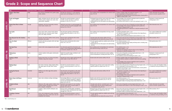# **Grade 2: Scope and Sequence Chart**

|                               | Title                                               | <b>High-Frequency Word</b> | <b>Content Words</b>                                                                                                                        | <b>Reading Comprehension Focus</b>                                                                                                                                               | <b>Foundational Skills</b>                                                                                                                                                    | Language Skills                                                                                                                                                                                                                                                                                                 | Writing                                                                             |
|-------------------------------|-----------------------------------------------------|----------------------------|---------------------------------------------------------------------------------------------------------------------------------------------|----------------------------------------------------------------------------------------------------------------------------------------------------------------------------------|-------------------------------------------------------------------------------------------------------------------------------------------------------------------------------|-----------------------------------------------------------------------------------------------------------------------------------------------------------------------------------------------------------------------------------------------------------------------------------------------------------------|-------------------------------------------------------------------------------------|
|                               | <b>Digger's Best Bone</b><br>$GRLJ^*$               | angry                      | bone, dinosaur, flowerbed, fossil, garden, puppy,<br>shelter, skeleton                                                                      | Describe how characters in a story respond to<br>major events and challenges. RL.2.3, RL.2.10                                                                                    | Know spelling-sound correspondences for common vowel<br>teams. RF.2.3b                                                                                                        | $\bullet$ Produce complete simple and compound sentences. L.2.1f<br>• Use an apostrophe to form possessives. L.2.2c<br>• Determine the meaning of the new word formed when a known prefix is<br>added to a known word, L.2.4b                                                                                   | Gather information from provided<br>sources to answer a question. W.2.8             |
| ∼<br>$\overline{\phantom{0}}$ | <b>Fruits and Veggies</b><br>GRL J                  | every                      | apples, artichokes, broccoli, celery, fruits, leaves,<br>markets, peaches, rhubarb, roots, seeds, stems,<br>supermarkets, vegetables        | Describe the connection between a series of<br>scientific concepts and steps in a technical<br>procedure in a text. RI.2.3, RI.2.10                                              | · Distinguish long and short vowel sounds when reading<br>regularly spelled one-syllable words. RF.2.3a<br>. Read grade-level text with purpose and understanding.<br>RE.2.4a | • Use knowledge of the meaning of individual words to predict the<br>meaning of compound words. L.2.4d<br>• Use sentence-level context as a clue to the meaning of a word. L.2.4a                                                                                                                               | Participate in shared research and<br>writing projects. W.2.7                       |
| <b>TEAET</b>                  | Honey from Hive to Home<br>GRL J                    | through                    | beekeepers, cells, hive, honeycombs, minerals,<br>nectar, swarm, vitamins, wax                                                              | Identify the main topic of a multi-paragraph text<br>as well as the focus of specific paragraphs within<br>the text. RI.2.2, RI.2.10                                             | Know spelling-sound correspondences for common vowel<br>teams. RF.2.3b                                                                                                        | • Form and use the past tense of frequently occurring irregular verbs. L.2.1d Write informative texts. W.2.2<br>. Use knowledge of the meaning of individual words to predict the<br>meaning of compound words. L.2.4d<br>. Use beginning dictionaries to determine or clarify the meaning of a word.<br>L.2.4e |                                                                                     |
|                               | <b>Our Earth</b><br><b>GRL J</b>                    | Earth                      | coast, corals, craters, currents, fossils, glaciers,<br>islands, lakes, lava, mountains, peaks, ranges,<br>rivers, rock, valleys, volcanoes | Ask and answer questions to demonstrate<br>understanding of key details in a text. RI.2.1,<br>RI.2.10                                                                            | Know spelling-sound correspondences for long a vowel<br>teams. RF.2.3b                                                                                                        | · Capitalize geographic names. L.2.2a<br>• Use adjectives and adverbs, and choose between them depending on<br>what is to be modified. L.2.1e<br>· Identify real-life connections between words and their use. L.2.5a                                                                                           | Use a variety of digital tools to produce<br>and publish writing. W.2.6             |
|                               | <b>How Buzzard Got His Feathers</b><br><b>GRL J</b> | story                      | buzzard, coats, deserts, feathers, forests, journey,<br>mountains, rivers, spirits                                                          | Recount stories and determine their central<br>message. RL.2.2, RL.2.10                                                                                                          | · Decode words with common suffixes. RF.2.3d<br>• Read grade-level text orally with accuracy. RF.2.4b                                                                         | • Form and use the past tense of frequently occurring irregular verbs. L.2.1d   Write narratives. W.2.3<br>· Distinguish shades of meaning among closely related verbs. L.2.5b                                                                                                                                  |                                                                                     |
|                               | One of a Kind<br>GRL K                              | different                  | cheetah, polar bear, porcupine, shell, snail, tiger,<br>tortoise, turtle                                                                    | Recount stories and determine their central<br>lesson. RL.2.2, RL.2.10                                                                                                           | . Decode regularly spelled two-syllable words with long<br>vowels. RF.2.3c<br>. Read grade-level text with purpose and understanding.<br>RF.2.4a                              | · Use reflexive pronouns. L.2.1c<br>• Use words acquired through reading and being read to, including using<br>adjectives to describe. L.2.6                                                                                                                                                                    | Write opinion pieces. W.2.1                                                         |
| $\infty$                      | <b>The Real Prize</b><br><b>GRL K</b>               | together                   | cement, Earth, nature, playground, prize, project                                                                                           | Use information gained from illustrations and<br>words in a text to demonstrate understanding of<br>its characters and plot. RL.2.7, RL.2.10                                     | Know spelling-sound correspondences for vowel teams<br>that stand for the long e sound. RF.2.3b                                                                               | • Use collective nouns, L.2.1a<br>· Capitalize holidays. L.2.2a<br>• Determine the meaning of unknown phrases and use beginning<br>dictionaries to clarify the meaning. L.2.4e                                                                                                                                  | Write explanatory texts. W.2.2                                                      |
| $\overline{\phantom{0}}$<br>룹 | Yellowstone<br><b>GRL K</b>                         | across                     | animals, eruptions, herds, geyser, national park,<br>species                                                                                | Explain how specific images contribute to and<br>clarify a text. RI.2.7, RI.2.10                                                                                                 | Identify words with inconsistent but common spelling-<br>sound correspondences, including silent letters. RF.2.3e                                                             | • Form and use frequently occurring irregular plural nouns. L.2.1b<br>· Capitalize geographic names. L.2.2a<br>• Use context as a clue to the meaning of a word. L.2.4a                                                                                                                                         | Participate in shared research and<br>writing projects. W.2.7                       |
| $\mathbf{z}$                  | <b>Getting to Work</b><br><b>GRL K</b>              | line                       | bicycles, boats, buses, cars, ferries, fuel, planes,<br>schedules, smog, trains, transport                                                  | Describe how reasons support specific points the<br>author makes in a text. RI.2.8, RI.2.10                                                                                      | Decode words with common suffixes. RF.2.3d                                                                                                                                    | • Produce complete simple and compound sentences. L.2.1f<br>• Consult reference materials as needed to check and correct spellings.<br>L.2.2e<br>• Use knowledge of the meaning of individual words to predict the<br>meaning of compound words. L.2.4d                                                         | Write opinion pieces. W.2.1                                                         |
|                               | <b>Making Paper</b><br>GRL K                        | both                       | bark, beater, chemicals, chipper, digester, fibers,<br>logs, paper, paper mill, pulp, rollers, washer,<br>wood                              | Describe the connection between a series of<br>steps in a technical procedure in a text. RI.2.3,<br>RI.2.10                                                                      | Distinguish long and short vowel sounds when reading<br>regularly spelled one-syllable words. RF.2.3a                                                                         | • Form and use the past tense of frequently occurring irregular verbs. L.2.1d<br>• Use an apostrophe to form possessives. L.2.2c<br>• Determine the meaning of a new word formed when a known prefix is<br>added to a known word, L.2.4b                                                                        | Focus on a topic and strengthen writing<br>as needed by revising and editing. W.2.5 |
|                               | <b>Saving the Parrots</b><br>GRL K                  | remember                   | birdhouse, cats, chicks, eggs, forest, parrots,<br>ranger, rats                                                                             | Ask and answer such questions as who, what,<br>where, when, why, and how to demonstrate<br>understanding of key details in a text. RL.2.1,<br>RL.2.10                            | Decode words with common suffixes. RF.2.3d                                                                                                                                    | . Use adjectives and adverbs, and choose between them depending on<br>what is to be modified. L.2.1e<br>• Use collective nouns. L.2.1a<br>. Use knowledge of the meaning of individual words to predict the<br>meaning of compound words. L.2.4d                                                                | Use a variety of digital tools to produce<br>and publish writing. W.2.6             |
| တ<br>$\overline{\phantom{0}}$ | <b>Mom's New Cell Phone</b><br>GRLK                 | tomorrow                   | alarm, clock, cell phone, settings, technology                                                                                              | Acknowledge differences in the points of view of<br>characters, including by speaking in a different<br>voice for each character when reading dialogue<br>aloud. RL.2.6, RL.2.10 | Identify words with the inconsistent but common<br>spelling-sound correspondence ph as /f/. RF.2.3e                                                                           | · Use reflexive pronouns. L.2.1c<br>• Use an apostrophe to form contractions and possessives. L.2.2c<br>· Distinguish shades of meaning among closely related verbs. L.2.5b                                                                                                                                     | Write opinion pieces. W.2.1                                                         |
| EVEL                          | A World of Birds<br><b>GRL K</b>                    | able                       | albatrosses, bills, eagles, godwits, habitats, kiwis,<br>lyrebirds, penguins, plumage, prey, secretary<br>birds, wingspan, woodpeckers      | Identify the main purpose of a text, including<br>what the author wants to answer, explain, or<br>describe. RI.2.6, RI.2.10                                                      | . Decode words with the r-controlled vowel ir. RF.2.3<br>• Identify words with the common spelling-sound<br>correspondence soft q. RF.2.3e                                    | • Form and use frequently occurring irregular plural nouns. L.2.1b<br>. Use sentence-level context as a clue to the meaning of a word. L.2.4a                                                                                                                                                                   | Gather information from provided<br>sources to answer a question. W.2.8             |
|                               | <b>Paul Bunyan</b><br>GRL K                         | ready                      | campfires, cradle, earmuffs, lumberjack, oxen<br>whiskers                                                                                   | Recount stories, including fables and folktales<br>from diverse cultures, and determine their central<br>message. RL.2.2, RL.2.10                                                | Distinguish long and short vowel sounds when reading<br>regularly spelled one-syllable words. RF.2.3a                                                                         | • Form and use the past tense of frequently occurring irregular verbs. L.2.1d   Write narratives. W.2.3<br>• Produce and expand complete sentences. L.2.1f<br>· Distinguish shades of meaning among closely related verbs. L.2.5b                                                                               |                                                                                     |
|                               | <b>Creating a Cartoon</b><br>GRL K                  | side                       | actors, artist, backgrounds, cartoon, characters,<br>drawings, faces, poses, scratch track, story reel,<br>storyboard, test screening       | Describe the connection between a series of<br>steps in a technical procedure in a text. RI.2.3,<br>RI.2.10                                                                      | . Decode regularly spelled two-syllable words with long<br>vowels. RF.2.3c<br>. Read grade-level text orally with accuracy. RF.2.4b                                           | • Use an apostrophe to form possessives. L.2.2c<br>• Use glossaries to determine or clarify the meaning of words and phrases.<br>L.2.4e                                                                                                                                                                         | Focus on a topic and strengthen writing<br>as needed by revising and editing. W.2.5 |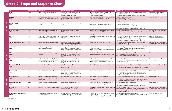# **Grade 2: Scope and Sequence Chart**

|                                         | <b>Title</b>                                   | <b>High-Frequency Word</b> | <b>Content Words</b>                                                                                                                              | Reading Comprehension Focus                                                                                                                                                      | <b>Foundational Skills</b>                                                                                                                                      | Language Skills                                                                                                                                                                                                                                                     | Writing                                                                                     |
|-----------------------------------------|------------------------------------------------|----------------------------|---------------------------------------------------------------------------------------------------------------------------------------------------|----------------------------------------------------------------------------------------------------------------------------------------------------------------------------------|-----------------------------------------------------------------------------------------------------------------------------------------------------------------|---------------------------------------------------------------------------------------------------------------------------------------------------------------------------------------------------------------------------------------------------------------------|---------------------------------------------------------------------------------------------|
|                                         | Hush!<br>$GRLL^*$                              | morning                    | golden armadillo lizard, mechanic, shelter,<br>village, waterhole                                                                                 | Use information gained from illustrations and<br>words in a text to demonstrate understanding of<br>its characters and plot. RL.2.7, RL.2.10                                     | · Decode words with common suffixes. RF.2.3d<br>. Read grade-level text orally with an appropriate rate on<br>successive readings. RF.2.4b                      | • Use adjectives and adverbs, and choose between them depending on<br>what is to be modified. L.2.1e<br>. Distinguish shades of meaning among closely related verbs. L.2.5b                                                                                         | Participate in shared research and<br>writing projects. W.2.7                               |
|                                         | <b>At Home</b><br><b>GRL L</b>                 | enough                     | apartment buildings, cities, homes, houseboat,<br>igloo, nomads, stilts, suburb, town, townhouses                                                 | Know and use various text features to locate key<br>facts and information in a text efficiently. RI.2.5,<br>RI.2.10                                                              | Distinguish long and short vowel sounds when reading<br>regularly spelled one-syllable words. RF.2.3a                                                           | · Produce complete sentences. L.2.1f<br>· Use collective nouns. L.2.1a<br>• Use glossaries to determine or clarify the meaning of words and phrases.<br>L.2.4e                                                                                                      | Write informative texts. W.2.2                                                              |
| 20<br><b>LEVEL</b>                      | A Sticky Problem<br>GRL L                      | front                      | backpack, magnets, cell phone, scooter,<br>workbench                                                                                              | Describe the overall structure of a story. RL.2.5,<br>RL.2.10                                                                                                                    | Identify words with the inconsistent but common<br>spelling-sound correspondence ph as /f/. RF.2.3e                                                             | . Use knowledge of the meaning of individual words to predict the<br>meaning of compound words, L.2.4d<br>• Consult reference materials as needed to check and correct spellings.<br>L.2.2e<br>· Identify real-life connections between words and their use. L.2.5a | Write narratives. W.2.3                                                                     |
|                                         | <b>Great Landmarks</b><br><b>GRL L</b>         | great                      | border, design, harbor, landmarks, memorial<br>monuments, presidents, symbols                                                                     | Identify the main purpose of a text, including<br>what the author wants to answer, explain, or<br>describe. RI.2.6, RI.2.10                                                      | · Identify words with inconsistent but common spelling-<br>sound correspondences. RF.2.3e<br>. Read grade-level text with purpose and understanding.<br>RF.2.4a | • Capitalize geographic names. L.2.2a<br>. Use a known root word as a clue to the meaning of an unknown word<br>with the same root. L.2.4c                                                                                                                          | Use digital tools to produce and publish<br>writing. W.2.6                                  |
|                                         | Pen and Ink<br>GRL L                           | mostly                     | assembly, barrel, cartridges, chemicals, dyes, ink,<br>machines, metal, molds, plastic, plungers                                                  | Explain how specific images contribute to and<br>clarify a text. RI.2.7, RI.2.10                                                                                                 | Know spelling-sound correspondences for the vowel team<br>ea. RF.2.3b                                                                                           | • Use adjectives and adverbs, and choose between them depending on<br>what is to be modified. L.2.1e<br>• Consult reference materials to check and correct spellings. L.2.2e<br>· Identify real-life connections between words and their use. L.2.5a                | Gather information from provided<br>sources to answer a question. W.2.8                     |
|                                         | The Ducks of Dinsmore Park<br><b>GRL L</b>     | maybe                      | bank, breadcrumbs, lake, mayor, party, tourists                                                                                                   | Use information gained from illustrations and<br>words in a text to demonstrate understanding of<br>its characters and plot. RL.2.7, RL.2.10                                     | Decode words with common suffixes. RF.2.3d                                                                                                                      | . Distinguish shades of meaning among closely related verbs. L.2.5b<br>· Use collective nouns. L.2.1a<br>. Use words acquired through reading. L.2.6                                                                                                                | Focus on a topic and strengthen writing<br>as needed by revising and editing. W.2.5         |
|                                         | <b>Snakes Alive!</b><br><b>GRL L</b>           | thank                      | carnivore, heating pad, herbivore, mammal,<br>reptile, shopkeeper, snake, tank                                                                    | Acknowledge differences in the points of view of<br>characters, including by speaking in a different<br>voice for each character when reading dialogue<br>aloud, RL.2.6, RL.2.10 | • Know spelling-sound correspondences for the vowel<br>team ow. RF.2.3b<br>. Read grade-level text with purpose and understanding.<br>RF.2.4a                   | • Generalize spelling patterns for adding -ing to the end of words. L.2.2d<br>. Use knowledge of the meaning of individual words to predict the<br>meaning of compound words. L.2.4d                                                                                | Write informative texts. W.2.2                                                              |
| $\overline{\mathbf{2}}$<br><b>LEVEL</b> | <b>Where's Dad?</b><br>GRL L                   | nowhere                    | button, leaves, lens, machine, magnifying glass,<br>microscope                                                                                    | Ask and answer such questions as who, what,<br>where, when, why, and how to demonstrate<br>understanding of key details in a text. RL.2.1,<br>RL.2.10                            | Identify words with inconsistent but common spelling-<br>sound correspondences, including silent letters. RF.2.3e                                               | • Use an apostrophe to form contractions. L.2.2c<br>• Use an apostrophe to form possessives. L.2.2c<br>. Distinguish shades of meaning among closely related verbs. L.2.5b                                                                                          | Write narratives. W.2.3                                                                     |
|                                         | <b>Bug Catchers</b><br>GRL L                   | sometimes                  | carnivorous plants, cilia, insects, leaf, liquid,<br>lobes, nutrients, pitcher plant, soil, sundew plant,<br>swamps, trigger hairs, Venus flytrap | Ask and answer such questions as who, what,<br>where, when, why, and how to demonstrate<br>understanding of key details in a text. RI.2.1,<br>RI.2.10                            | • Know spelling-sound correspondences for vowel teams<br>that stand for the long u sound. RF.2.3b<br>. Read grade-level text orally with accuracy. RF.2.4b      | · Use adjectives. L.2.1e<br>. Use a known root word as a clue to the meaning of an unknown word<br>with the same root. L.2.4c                                                                                                                                       | Participate in shared research and<br>writing projects. W.2.7                               |
|                                         | <b>Living Around the World</b><br><b>GRL L</b> | because                    | climate, climate zone, clothing, deserts, ice,<br>mountain, rain forests, sea, traditional, weather                                               | Identify the main purpose of a text, including<br>what the author wants to answer, explain, or<br>describe. RI.2.6, RI.2.10                                                      | Distinguish long and short vowels when reading regularly<br>spelled one-syllable words. RF.2.3a                                                                 | . Use words and phrases acquired through reading. L.2.6<br>• Consult reference materials to check and correct spellings. L.2.2e<br>• Use glossaries to determine or clarify the meaning of words and phrases.<br>L.2.4e                                             | Use digital tools to produce and publish<br>writing. W.2.6                                  |
|                                         | <b>Secondhand Dog</b><br>GRL M                 | throw                      | bike, clothes, dog handler, dog shelter, laptop                                                                                                   | Acknowledge differences in the points of view of<br>characters, including by speaking in a different<br>voice for each character when reading dialogue<br>aloud. RL.2.6, RL.2.10 | Decode words with common suffixes. RF.2.3d                                                                                                                      | • Use an apostrophe to form contractions. L.2.2c<br>. Use an apostrophe to form frequently occurring possessives. L.2.2c<br>• Use a known root word as a clue to the meaning of an unknown word<br>with the same root. L.2.4c                                       | Write narratives. W.2.3                                                                     |
| 22                                      | <b>Simple Machines</b><br><b>GRL M</b>         | begin                      | fulcrum, inclined planes, levers, load, machine,<br>pulleys, ramp, rod, screws, thread, wedges, wheel<br>and axle, work                           | Answer questions to demonstrate understanding<br>of key details in a text. RI.2.1, RI.2.10                                                                                       | Know spelling-sound correspondences for<br>common vowel teams that stand for the oo sound as in<br>book. RF.2.3b                                                | • Generalize spelling patterns for adding -ing to the end of words. L.2.2d<br>• Use adjectives to modify nouns. L.2.1e<br>. Use sentence-level context as a clue to the meaning of a word. Then use<br>a dictionary to clarify the word's meaning. L.2.4a, L.2.4e   | Write informative texts. W.2.2                                                              |
| <b>LEVEL</b>                            | My Mom the Inventor<br>GRL M                   | answer                     | bearskin, cave, gourd, handiwork, inventor,<br>winter                                                                                             | Describe the overall structure of a story. RL.2.5,<br>RL.2.10                                                                                                                    | Identify words with inconsistent but common spelling-<br>sound correspondences, including silent letters. RF.2.3e                                               | • Use an apostrophe to form contractions. L.2.2c<br>• Use adjectives and adverbs. L.2.1e<br>· Identify real-life connections between words and their use. L.2.5a                                                                                                    | Write narratives. W.2.3                                                                     |
|                                         | A Frog's Life<br><b>GRL M</b>                  | over                       | eggs, froglets, frogs, gills, prey, tadpoles, toe pads                                                                                            | Describe the connection between a series of<br>science ideas in a text. RI.2.3, RI.2.10                                                                                          | Know spelling-sound correspondences for the vowel team<br>ow. RF.2.3b                                                                                           | • Use collective nouns. L.2.1a<br>• Form and use the past tense of frequently occurring irregular verbs. L.2.1d<br>• Determine the meaning of a new word formed when a known prefix is<br>added to a known word. L.2.4b                                             | Focus on a topic and strengthen writing<br>$\vert$ as needed by revising and editing. W.2.5 |
|                                         | How Does the U.S. Government<br>Work?<br>GRL M | might                      | country, courts, democracy, election, government,<br>laws, president, voting                                                                      | Identify the main topic of a multi-paragraph text<br>as well as the focus of specific paragraphs within<br>the text. RI.2.2, RI.2.10                                             | . Decode regularly spelled two-syllable words with long<br>vowels. RF.2.3c<br>. Read grade-level text orally with accuracy. RF.2.4b                             | • Capitalize holidays and geographic names. L.2.2a<br>. Use beginning dictionaries to determine or clarify the meaning of a word.<br>L.2.4e                                                                                                                         | Write informative texts, W.2.2                                                              |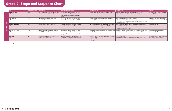# **Grade 2: Scope and Sequence Chart**

|       | <b>Title</b>                              | High-Frequency Word | Content Words                                                                                                  | Reading Comprehension Focus                                                                                                                           | Foundational Skills                                                                                                                                              | Language Skills                                                                                                                                                                                                             | Writing                                                                                          |
|-------|-------------------------------------------|---------------------|----------------------------------------------------------------------------------------------------------------|-------------------------------------------------------------------------------------------------------------------------------------------------------|------------------------------------------------------------------------------------------------------------------------------------------------------------------|-----------------------------------------------------------------------------------------------------------------------------------------------------------------------------------------------------------------------------|--------------------------------------------------------------------------------------------------|
|       | <b>Spencer's Blog</b><br>$GRLM^*$         | follow              | blog, camels, camera, capital, country, fort, quide,<br>India, monkeys, snake, train, umbrella                 | Ask and answer such questions as who, what,<br>where, when, why, and how to demonstrate<br>understanding of key details in a text. RL.2.1,<br>RL.2.10 | Decode words with the r-controlled vowel or, RF.2.3                                                                                                              | • Produce complete simple and compound sentences. L.2.1f<br>• Use context as a clue to the meaning of a word. L.2.4a                                                                                                        | Use digital tools to produce and publish<br>writing. W.2.6                                       |
| 23    | <b>The Reward</b><br><b>GRL M</b>         | blue                | apartment, birthday, crafts, money, reward,<br>supermarket, tracksuit, wallet                                  | Describe how characters in a story respond to<br>major events and challenges. RL.2.3, RL.2.10                                                         | Decode regularly spelled two-syllable words with long<br>vowels. RF.2.3c                                                                                         | • Use an apostrophe to form contractions. L.2.2c<br>• Use an apostrophe to form possessives. L.2.2c<br>• Use a known root word as a clue to the meaning of an unknown word<br>with the same root. L.2.4c                    | Focus on a topic and strengthen writing<br>as needed by revising and editing. W.2.5              |
| LEVEL | Days to Remember<br>GRL M                 | those               | civil rights, independence, laws, nation                                                                       | Know and use various text features to locate key<br>facts and information in a text efficiently. RI.2.5,<br>R1.2.10                                   | • Distinguish long and short vowel sounds when reading<br>regularly spelled one-syllable words. RF.2.3a<br>• Read grade-level text orally with accuracy. RF.2.4b | • Use adjectives and adverbs, and choose between them depending on<br>what is to be modified. L.2.1e<br>• Determine the meaning of a new word formed when a known prefix is<br>added to a known word. L.2.4b                | Write narratives. W.2.3                                                                          |
|       | <b>Helping Each Other</b><br><b>GRL M</b> | ocean               | anemones, antelopes, caterpillars, cleaner fish,<br>clown fish, hosts, microbes, parasites, reefs,<br>termites | Ask and answer such questions as who, what,<br>where, when, why, and how to demonstrate<br>understanding of key details in a text. RI.2.1,<br>RI.2.10 | Know spelling-sound correspondences for the vowel team<br>ea. RF.2.3b                                                                                            | • Generalize spelling patterns for adding -ing to the end of words. L.2.2d<br>. Form and use frequently occurring irregular plural nouns. L.2.1b<br>• Use sentence-level context as a clue to the meaning of a word. L.2.4a | Participate in shared research and<br>writing projects. W.2.7                                    |
|       | <b>Ice Science</b><br><b>GRL M</b>        | sure                | Celsius, density, expansion, experiments, freezing<br>point, ice, liquid, solid, water                         | Identify the main topic of a multi-paragraph text<br>as well as the focus of specific paragraphs within<br>the text. RI.2.2, RI.2.10                  | . Decode regularly spelled two-syllable words with long<br>vowels. RF.2.3c<br>• Read grade-level text with purpose and understanding.<br>RF.2.4a                 | • Use adjectives. L.2.2e<br>• Identify real-life connections between words and their use. L.2.5a                                                                                                                            | Recall information or gather information<br>from provided sources to answer a<br>question. W.2.8 |